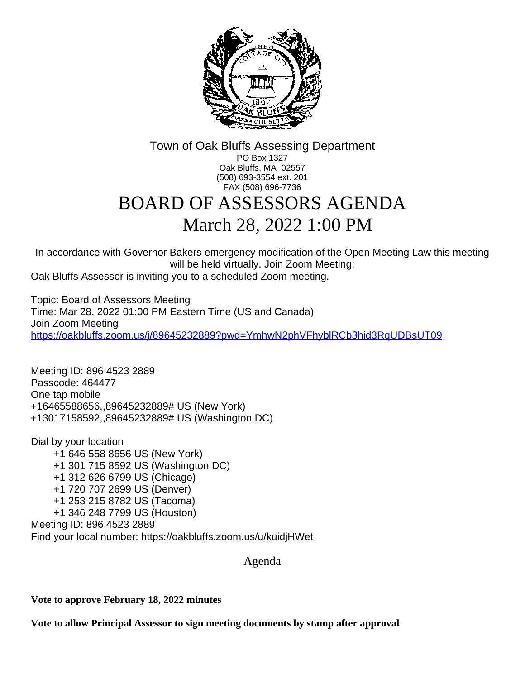

Town of Oak Bluffs Assessing Department PO Box 1327 Oak Bluffs, MA 02557 (508) 693-3554 ext. 201 FAX (508) 696-7736

## BOARD OF ASSESSORS AGENDA March 28, 2022 1:00 PM

In accordance with Governor Bakers emergency modification of the Open Meeting Law this meeting will be held virtually. Join Zoom Meeting:

Oak Bluffs Assessor is inviting you to a scheduled Zoom meeting.

Topic: Board of Assessors Meeting Time: Mar 28, 2022 01:00 PM Eastern Time (US and Canada) Join Zoom Meeting <https://oakbluffs.zoom.us/j/89645232889?pwd=YmhwN2phVFhyblRCb3hid3RqUDBsUT09>

Meeting ID: 896 4523 2889 Passcode: 464477 One tap mobile +16465588656,,89645232889# US (New York) +13017158592,,89645232889# US (Washington DC)

Dial by your location +1 646 558 8656 US (New York) +1 301 715 8592 US (Washington DC) +1 312 626 6799 US (Chicago) +1 720 707 2699 US (Denver) +1 253 215 8782 US (Tacoma) +1 346 248 7799 US (Houston) Meeting ID: 896 4523 2889 Find your local number: https://oakbluffs.zoom.us/u/kuidjHWet

Agenda

**Vote to approve February 18, 2022 minutes**

**Vote to allow Principal Assessor to sign meeting documents by stamp after approval**